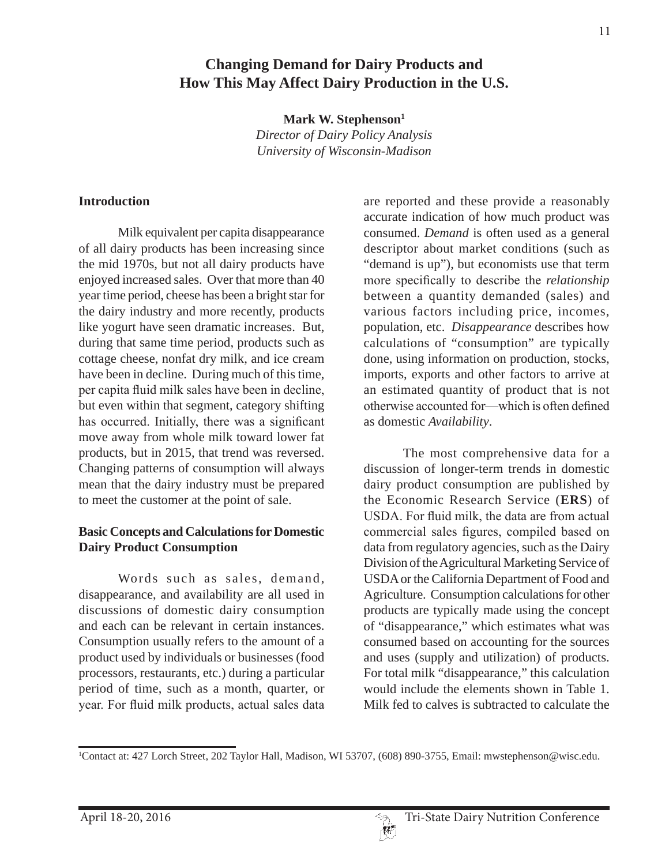Mark W. Stephenson<sup>1</sup> *Director of Dairy Policy Analysis University of Wisconsin-Madison*

### **Introduction**

Milk equivalent per capita disappearance of all dairy products has been increasing since the mid 1970s, but not all dairy products have enjoyed increased sales. Over that more than 40 year time period, cheese has been a bright star for the dairy industry and more recently, products like yogurt have seen dramatic increases. But, during that same time period, products such as cottage cheese, nonfat dry milk, and ice cream have been in decline. During much of this time, per capita fluid milk sales have been in decline, but even within that segment, category shifting has occurred. Initially, there was a significant move away from whole milk toward lower fat products, but in 2015, that trend was reversed. Changing patterns of consumption will always mean that the dairy industry must be prepared to meet the customer at the point of sale.

### **Basic Concepts and Calculations for Domestic Dairy Product Consumption**

Words such as sales, demand, disappearance, and availability are all used in discussions of domestic dairy consumption and each can be relevant in certain instances. Consumption usually refers to the amount of a product used by individuals or businesses (food processors, restaurants, etc.) during a particular period of time, such as a month, quarter, or year. For fluid milk products, actual sales data

are reported and these provide a reasonably accurate indication of how much product was consumed. *Demand* is often used as a general descriptor about market conditions (such as "demand is up"), but economists use that term more specifically to describe the *relationship* between a quantity demanded (sales) and various factors including price, incomes, population, etc. *Disappearance* describes how calculations of "consumption" are typically done, using information on production, stocks, imports, exports and other factors to arrive at an estimated quantity of product that is not otherwise accounted for—which is often defined as domestic *Availability*.

The most comprehensive data for a discussion of longer-term trends in domestic dairy product consumption are published by the Economic Research Service (**ERS**) of USDA. For fluid milk, the data are from actual commercial sales figures, compiled based on data from regulatory agencies, such as the Dairy Division of the Agricultural Marketing Service of USDA or the California Department of Food and Agriculture. Consumption calculations for other products are typically made using the concept of "disappearance," which estimates what was consumed based on accounting for the sources and uses (supply and utilization) of products. For total milk "disappearance," this calculation would include the elements shown in Table 1. Milk fed to calves is subtracted to calculate the

<sup>1</sup> Contact at: 427 Lorch Street, 202 Taylor Hall, Madison, WI 53707, (608) 890-3755, Email: mwstephenson@wisc.edu.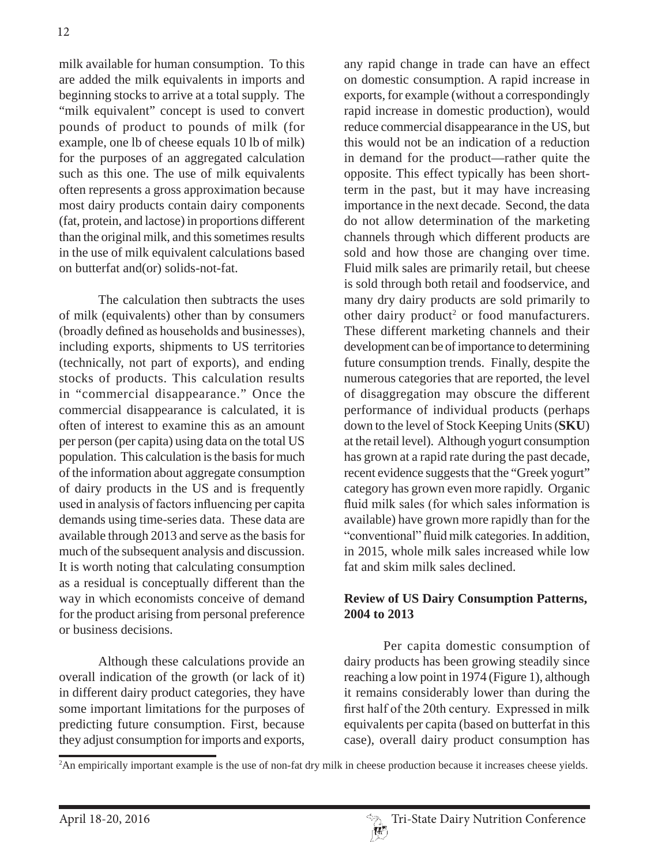milk available for human consumption. To this are added the milk equivalents in imports and beginning stocks to arrive at a total supply. The "milk equivalent" concept is used to convert pounds of product to pounds of milk (for example, one lb of cheese equals 10 lb of milk) for the purposes of an aggregated calculation such as this one. The use of milk equivalents often represents a gross approximation because most dairy products contain dairy components (fat, protein, and lactose) in proportions different than the original milk, and this sometimes results in the use of milk equivalent calculations based on butterfat and(or) solids-not-fat.

The calculation then subtracts the uses of milk (equivalents) other than by consumers (broadly defined as households and businesses), including exports, shipments to US territories (technically, not part of exports), and ending stocks of products. This calculation results in "commercial disappearance." Once the commercial disappearance is calculated, it is often of interest to examine this as an amount per person (per capita) using data on the total US population. This calculation is the basis for much of the information about aggregate consumption of dairy products in the US and is frequently used in analysis of factors influencing per capita demands using time-series data. These data are available through 2013 and serve as the basis for much of the subsequent analysis and discussion. It is worth noting that calculating consumption as a residual is conceptually different than the way in which economists conceive of demand for the product arising from personal preference or business decisions.

Although these calculations provide an overall indication of the growth (or lack of it) in different dairy product categories, they have some important limitations for the purposes of predicting future consumption. First, because they adjust consumption for imports and exports,

any rapid change in trade can have an effect on domestic consumption. A rapid increase in exports, for example (without a correspondingly rapid increase in domestic production), would reduce commercial disappearance in the US, but this would not be an indication of a reduction in demand for the product—rather quite the opposite. This effect typically has been shortterm in the past, but it may have increasing importance in the next decade. Second, the data do not allow determination of the marketing channels through which different products are sold and how those are changing over time. Fluid milk sales are primarily retail, but cheese is sold through both retail and foodservice, and many dry dairy products are sold primarily to other dairy product<sup>2</sup> or food manufacturers. These different marketing channels and their development can be of importance to determining future consumption trends. Finally, despite the numerous categories that are reported, the level of disaggregation may obscure the different performance of individual products (perhaps down to the level of Stock Keeping Units (**SKU**) at the retail level). Although yogurt consumption has grown at a rapid rate during the past decade, recent evidence suggests that the "Greek yogurt" category has grown even more rapidly. Organic fluid milk sales (for which sales information is available) have grown more rapidly than for the "conventional" fluid milk categories. In addition, in 2015, whole milk sales increased while low fat and skim milk sales declined.

### **Review of US Dairy Consumption Patterns, 2004 to 2013**

Per capita domestic consumption of dairy products has been growing steadily since reaching a low point in 1974 (Figure 1), although it remains considerably lower than during the first half of the 20th century. Expressed in milk equivalents per capita (based on butterfat in this case), overall dairy product consumption has

<sup>2</sup> An empirically important example is the use of non-fat dry milk in cheese production because it increases cheese yields.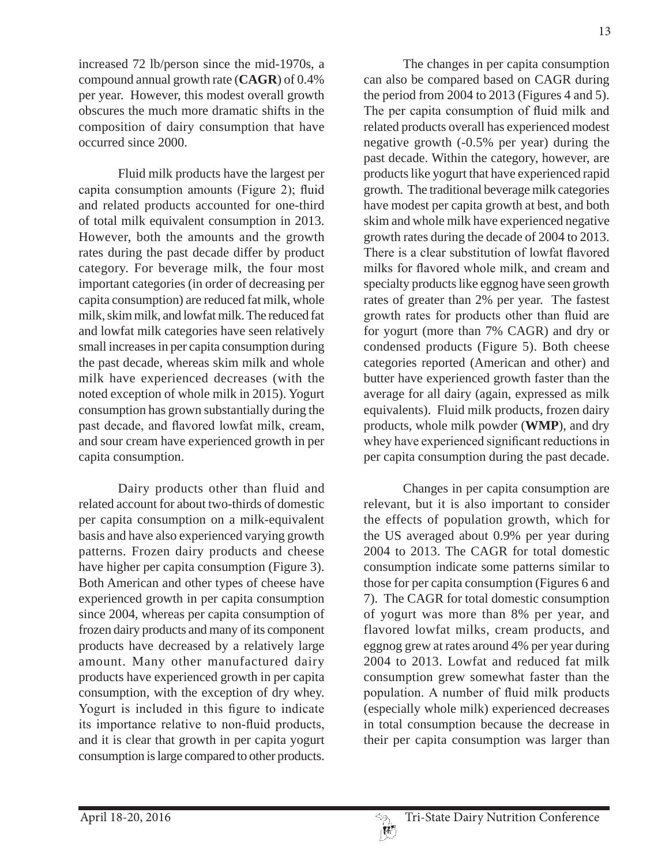increased 72 lb/person since the mid-1970s, a compound annual growth rate (**CAGR**) of 0.4% per year. However, this modest overall growth obscures the much more dramatic shifts in the composition of dairy consumption that have occurred since 2000.

Fluid milk products have the largest per capita consumption amounts (Figure 2); fluid and related products accounted for one-third of total milk equivalent consumption in 2013. However, both the amounts and the growth rates during the past decade differ by product category. For beverage milk, the four most important categories (in order of decreasing per capita consumption) are reduced fat milk, whole milk, skim milk, and lowfat milk. The reduced fat and lowfat milk categories have seen relatively small increases in per capita consumption during the past decade, whereas skim milk and whole milk have experienced decreases (with the noted exception of whole milk in 2015). Yogurt consumption has grown substantially during the past decade, and flavored lowfat milk, cream, and sour cream have experienced growth in per capita consumption.

Dairy products other than fluid and related account for about two-thirds of domestic per capita consumption on a milk-equivalent basis and have also experienced varying growth patterns. Frozen dairy products and cheese have higher per capita consumption (Figure 3). Both American and other types of cheese have experienced growth in per capita consumption since 2004, whereas per capita consumption of frozen dairy products and many of its component products have decreased by a relatively large amount. Many other manufactured dairy products have experienced growth in per capita consumption, with the exception of dry whey. Yogurt is included in this figure to indicate its importance relative to non-fluid products, and it is clear that growth in per capita yogurt consumption is large compared to other products.

The changes in per capita consumption can also be compared based on CAGR during the period from 2004 to 2013 (Figures 4 and 5). The per capita consumption of fluid milk and related products overall has experienced modest negative growth (-0.5% per year) during the past decade. Within the category, however, are products like yogurt that have experienced rapid growth. The traditional beverage milk categories have modest per capita growth at best, and both skim and whole milk have experienced negative growth rates during the decade of 2004 to 2013. There is a clear substitution of lowfat flavored milks for flavored whole milk, and cream and specialty products like eggnog have seen growth rates of greater than 2% per year. The fastest growth rates for products other than fluid are for yogurt (more than 7% CAGR) and dry or condensed products (Figure 5). Both cheese categories reported (American and other) and butter have experienced growth faster than the average for all dairy (again, expressed as milk equivalents). Fluid milk products, frozen dairy products, whole milk powder (**WMP**), and dry whey have experienced significant reductions in per capita consumption during the past decade.

Changes in per capita consumption are relevant, but it is also important to consider the effects of population growth, which for the US averaged about 0.9% per year during 2004 to 2013. The CAGR for total domestic consumption indicate some patterns similar to those for per capita consumption (Figures 6 and 7). The CAGR for total domestic consumption of yogurt was more than 8% per year, and flavored lowfat milks, cream products, and eggnog grew at rates around 4% per year during 2004 to 2013. Lowfat and reduced fat milk consumption grew somewhat faster than the population. A number of fluid milk products (especially whole milk) experienced decreases in total consumption because the decrease in their per capita consumption was larger than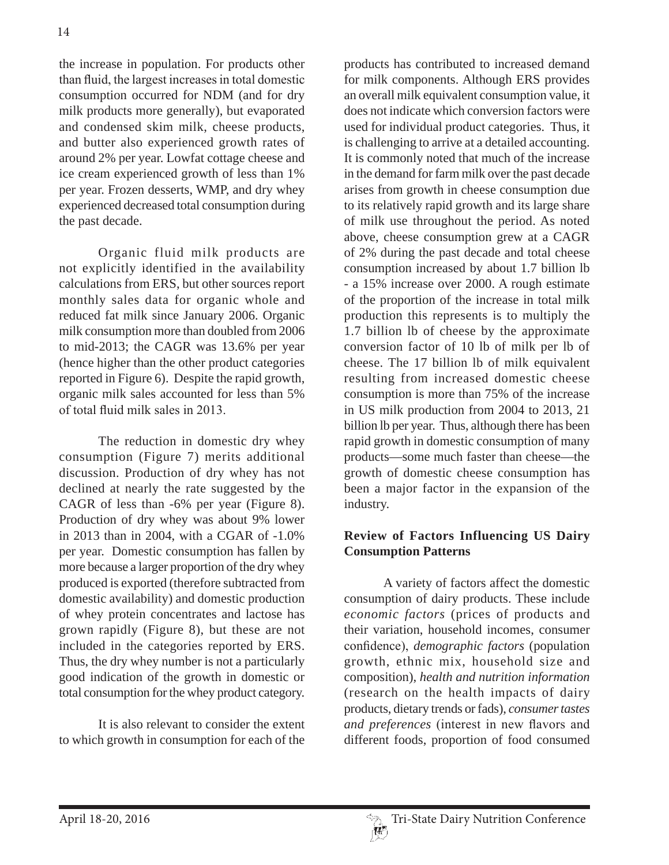the increase in population. For products other than fluid, the largest increases in total domestic consumption occurred for NDM (and for dry milk products more generally), but evaporated and condensed skim milk, cheese products, and butter also experienced growth rates of around 2% per year. Lowfat cottage cheese and ice cream experienced growth of less than 1% per year. Frozen desserts, WMP, and dry whey experienced decreased total consumption during the past decade.

Organic fluid milk products are not explicitly identified in the availability calculations from ERS, but other sources report monthly sales data for organic whole and reduced fat milk since January 2006. Organic milk consumption more than doubled from 2006 to mid-2013; the CAGR was 13.6% per year (hence higher than the other product categories reported in Figure 6). Despite the rapid growth, organic milk sales accounted for less than 5% of total fluid milk sales in  $2013$ .

The reduction in domestic dry whey consumption (Figure 7) merits additional discussion. Production of dry whey has not declined at nearly the rate suggested by the CAGR of less than -6% per year (Figure 8). Production of dry whey was about 9% lower in 2013 than in 2004, with a CGAR of -1.0% per year. Domestic consumption has fallen by more because a larger proportion of the dry whey produced is exported (therefore subtracted from domestic availability) and domestic production of whey protein concentrates and lactose has grown rapidly (Figure 8), but these are not included in the categories reported by ERS. Thus, the dry whey number is not a particularly good indication of the growth in domestic or total consumption for the whey product category.

It is also relevant to consider the extent to which growth in consumption for each of the products has contributed to increased demand for milk components. Although ERS provides an overall milk equivalent consumption value, it does not indicate which conversion factors were used for individual product categories. Thus, it is challenging to arrive at a detailed accounting. It is commonly noted that much of the increase in the demand for farm milk over the past decade arises from growth in cheese consumption due to its relatively rapid growth and its large share of milk use throughout the period. As noted above, cheese consumption grew at a CAGR of 2% during the past decade and total cheese consumption increased by about 1.7 billion lb - a 15% increase over 2000. A rough estimate of the proportion of the increase in total milk production this represents is to multiply the 1.7 billion lb of cheese by the approximate conversion factor of 10 lb of milk per lb of cheese. The 17 billion lb of milk equivalent resulting from increased domestic cheese consumption is more than 75% of the increase in US milk production from 2004 to 2013, 21 billion lb per year. Thus, although there has been rapid growth in domestic consumption of many products—some much faster than cheese—the growth of domestic cheese consumption has been a major factor in the expansion of the industry.

## **Review of Factors Influencing US Dairy Consumption Patterns**

A variety of factors affect the domestic consumption of dairy products. These include *economic factors* (prices of products and their variation, household incomes, consumer confidence), *demographic factors* (population growth, ethnic mix, household size and composition), *health and nutrition information*  (research on the health impacts of dairy products, dietary trends or fads), *consumer tastes and preferences* (interest in new flavors and different foods, proportion of food consumed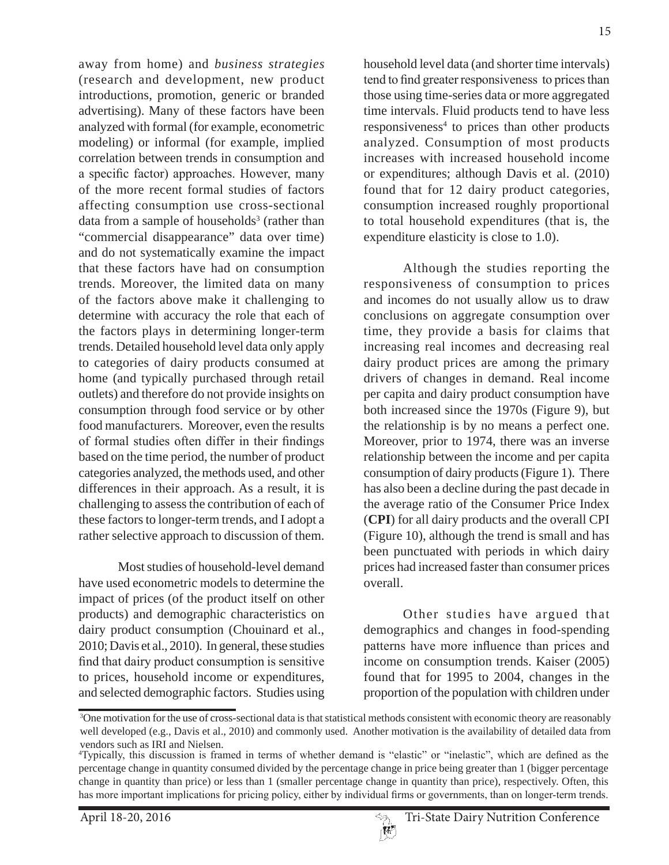away from home) and *business strategies*  (research and development, new product introductions, promotion, generic or branded advertising). Many of these factors have been analyzed with formal (for example, econometric modeling) or informal (for example, implied correlation between trends in consumption and a specific factor) approaches. However, many of the more recent formal studies of factors affecting consumption use cross-sectional data from a sample of households<sup>3</sup> (rather than "commercial disappearance" data over time) and do not systematically examine the impact that these factors have had on consumption trends. Moreover, the limited data on many of the factors above make it challenging to determine with accuracy the role that each of the factors plays in determining longer-term trends. Detailed household level data only apply to categories of dairy products consumed at home (and typically purchased through retail outlets) and therefore do not provide insights on consumption through food service or by other food manufacturers. Moreover, even the results of formal studies often differ in their findings based on the time period, the number of product categories analyzed, the methods used, and other differences in their approach. As a result, it is challenging to assess the contribution of each of these factors to longer-term trends, and I adopt a rather selective approach to discussion of them.

Most studies of household-level demand have used econometric models to determine the impact of prices (of the product itself on other products) and demographic characteristics on dairy product consumption (Chouinard et al., 2010; Davis et al., 2010). In general, these studies find that dairy product consumption is sensitive to prices, household income or expenditures, and selected demographic factors. Studies using

household level data (and shorter time intervals) tend to find greater responsiveness to prices than those using time-series data or more aggregated time intervals. Fluid products tend to have less responsiveness<sup>4</sup> to prices than other products analyzed. Consumption of most products increases with increased household income or expenditures; although Davis et al. (2010) found that for 12 dairy product categories, consumption increased roughly proportional to total household expenditures (that is, the expenditure elasticity is close to 1.0).

Although the studies reporting the responsiveness of consumption to prices and incomes do not usually allow us to draw conclusions on aggregate consumption over time, they provide a basis for claims that increasing real incomes and decreasing real dairy product prices are among the primary drivers of changes in demand. Real income per capita and dairy product consumption have both increased since the 1970s (Figure 9), but the relationship is by no means a perfect one. Moreover, prior to 1974, there was an inverse relationship between the income and per capita consumption of dairy products (Figure 1). There has also been a decline during the past decade in the average ratio of the Consumer Price Index (**CPI**) for all dairy products and the overall CPI (Figure 10), although the trend is small and has been punctuated with periods in which dairy prices had increased faster than consumer prices overall.

Other studies have argued that demographics and changes in food-spending patterns have more influence than prices and income on consumption trends. Kaiser (2005) found that for 1995 to 2004, changes in the proportion of the population with children under

 $\vert W \vert$ 

<sup>3</sup> One motivation for the use of cross-sectional data is that statistical methods consistent with economic theory are reasonably well developed (e.g., Davis et al., 2010) and commonly used. Another motivation is the availability of detailed data from vendors such as IRI and Nielsen.

<sup>&</sup>quot;Typically, this discussion is framed in terms of whether demand is "elastic" or "inelastic", which are defined as the percentage change in quantity consumed divided by the percentage change in price being greater than 1 (bigger percentage change in quantity than price) or less than 1 (smaller percentage change in quantity than price), respectively. Often, this has more important implications for pricing policy, either by individual firms or governments, than on longer-term trends.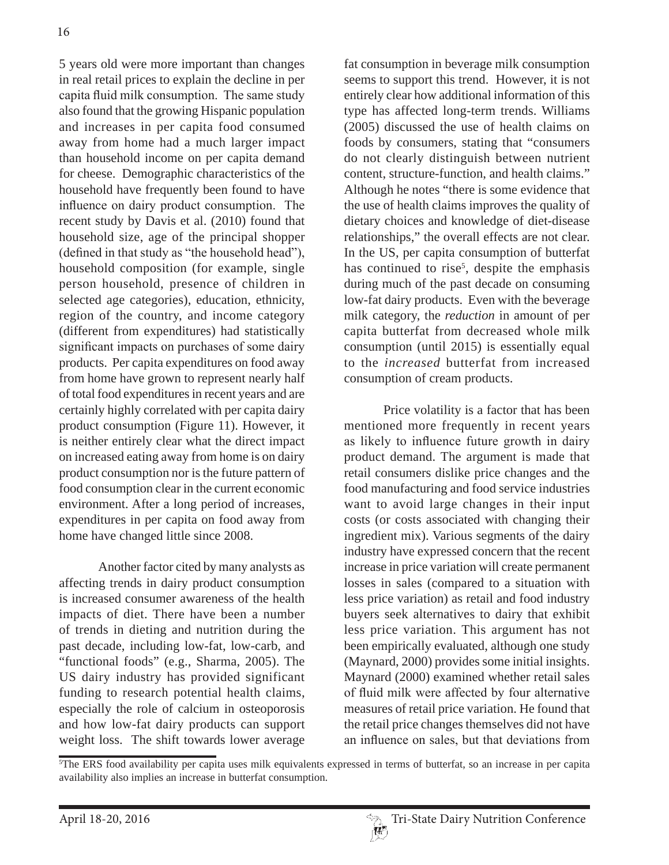5 years old were more important than changes in real retail prices to explain the decline in per capita fluid milk consumption. The same study also found that the growing Hispanic population and increases in per capita food consumed away from home had a much larger impact than household income on per capita demand for cheese. Demographic characteristics of the household have frequently been found to have influence on dairy product consumption. The recent study by Davis et al. (2010) found that household size, age of the principal shopper (defined in that study as "the household head"), household composition (for example, single person household, presence of children in selected age categories), education, ethnicity, region of the country, and income category (different from expenditures) had statistically significant impacts on purchases of some dairy products. Per capita expenditures on food away from home have grown to represent nearly half of total food expenditures in recent years and are certainly highly correlated with per capita dairy product consumption (Figure 11). However, it is neither entirely clear what the direct impact on increased eating away from home is on dairy product consumption nor is the future pattern of food consumption clear in the current economic environment. After a long period of increases, expenditures in per capita on food away from home have changed little since 2008.

Another factor cited by many analysts as affecting trends in dairy product consumption is increased consumer awareness of the health impacts of diet. There have been a number of trends in dieting and nutrition during the past decade, including low-fat, low-carb, and "functional foods" (e.g., Sharma, 2005). The US dairy industry has provided significant funding to research potential health claims, especially the role of calcium in osteoporosis and how low-fat dairy products can support weight loss. The shift towards lower average

fat consumption in beverage milk consumption seems to support this trend. However, it is not entirely clear how additional information of this type has affected long-term trends. Williams (2005) discussed the use of health claims on foods by consumers, stating that "consumers do not clearly distinguish between nutrient content, structure-function, and health claims." Although he notes "there is some evidence that the use of health claims improves the quality of dietary choices and knowledge of diet-disease relationships," the overall effects are not clear. In the US, per capita consumption of butterfat has continued to rise<sup>5</sup>, despite the emphasis during much of the past decade on consuming low-fat dairy products. Even with the beverage milk category, the *reduction* in amount of per capita butterfat from decreased whole milk consumption (until 2015) is essentially equal to the *increased* butterfat from increased consumption of cream products.

Price volatility is a factor that has been mentioned more frequently in recent years as likely to influence future growth in dairy product demand. The argument is made that retail consumers dislike price changes and the food manufacturing and food service industries want to avoid large changes in their input costs (or costs associated with changing their ingredient mix). Various segments of the dairy industry have expressed concern that the recent increase in price variation will create permanent losses in sales (compared to a situation with less price variation) as retail and food industry buyers seek alternatives to dairy that exhibit less price variation. This argument has not been empirically evaluated, although one study (Maynard, 2000) provides some initial insights. Maynard (2000) examined whether retail sales of fluid milk were affected by four alternative measures of retail price variation. He found that the retail price changes themselves did not have an influence on sales, but that deviations from

<sup>5</sup> The ERS food availability per capita uses milk equivalents expressed in terms of butterfat, so an increase in per capita availability also implies an increase in butterfat consumption.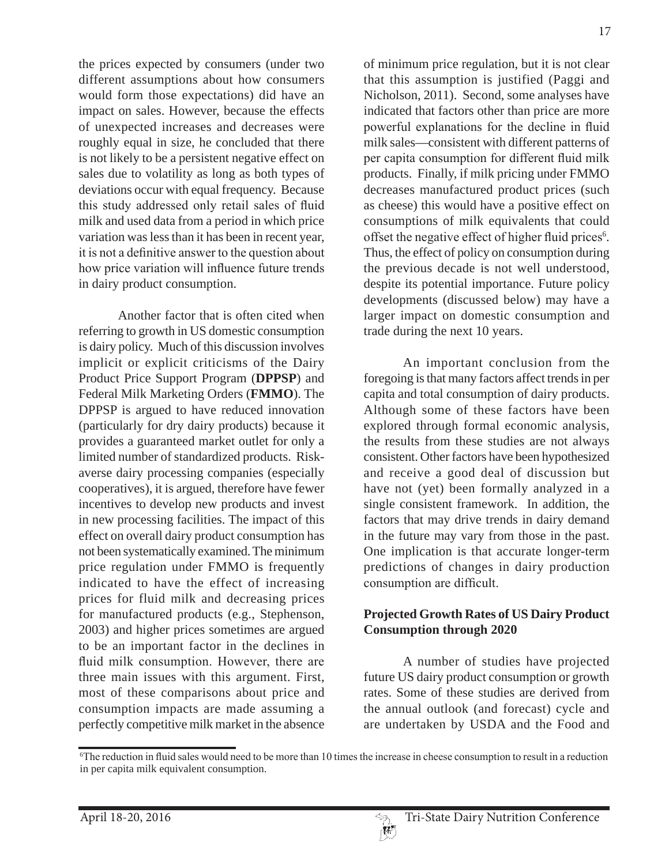the prices expected by consumers (under two different assumptions about how consumers would form those expectations) did have an impact on sales. However, because the effects of unexpected increases and decreases were roughly equal in size, he concluded that there is not likely to be a persistent negative effect on sales due to volatility as long as both types of deviations occur with equal frequency. Because this study addressed only retail sales of fluid milk and used data from a period in which price variation was less than it has been in recent year, it is not a definitive answer to the question about how price variation will influence future trends in dairy product consumption.

Another factor that is often cited when referring to growth in US domestic consumption is dairy policy. Much of this discussion involves implicit or explicit criticisms of the Dairy Product Price Support Program (**DPPSP**) and Federal Milk Marketing Orders (**FMMO**). The DPPSP is argued to have reduced innovation (particularly for dry dairy products) because it provides a guaranteed market outlet for only a limited number of standardized products. Riskaverse dairy processing companies (especially cooperatives), it is argued, therefore have fewer incentives to develop new products and invest in new processing facilities. The impact of this effect on overall dairy product consumption has not been systematically examined. The minimum price regulation under FMMO is frequently indicated to have the effect of increasing prices for fluid milk and decreasing prices for manufactured products (e.g., Stephenson, 2003) and higher prices sometimes are argued to be an important factor in the declines in fluid milk consumption. However, there are three main issues with this argument. First, most of these comparisons about price and consumption impacts are made assuming a perfectly competitive milk market in the absence

of minimum price regulation, but it is not clear that this assumption is justified (Paggi and Nicholson, 2011). Second, some analyses have indicated that factors other than price are more powerful explanations for the decline in fluid milk sales—consistent with different patterns of per capita consumption for different fluid milk products. Finally, if milk pricing under FMMO decreases manufactured product prices (such as cheese) this would have a positive effect on consumptions of milk equivalents that could offset the negative effect of higher fluid prices<sup>6</sup>. Thus, the effect of policy on consumption during the previous decade is not well understood, despite its potential importance. Future policy developments (discussed below) may have a larger impact on domestic consumption and trade during the next 10 years.

An important conclusion from the foregoing is that many factors affect trends in per capita and total consumption of dairy products. Although some of these factors have been explored through formal economic analysis, the results from these studies are not always consistent. Other factors have been hypothesized and receive a good deal of discussion but have not (yet) been formally analyzed in a single consistent framework. In addition, the factors that may drive trends in dairy demand in the future may vary from those in the past. One implication is that accurate longer-term predictions of changes in dairy production consumption are difficult.

## **Projected Growth Rates of US Dairy Product Consumption through 2020**

A number of studies have projected future US dairy product consumption or growth rates. Some of these studies are derived from the annual outlook (and forecast) cycle and are undertaken by USDA and the Food and

The reduction in fluid sales would need to be more than 10 times the increase in cheese consumption to result in a reduction in per capita milk equivalent consumption.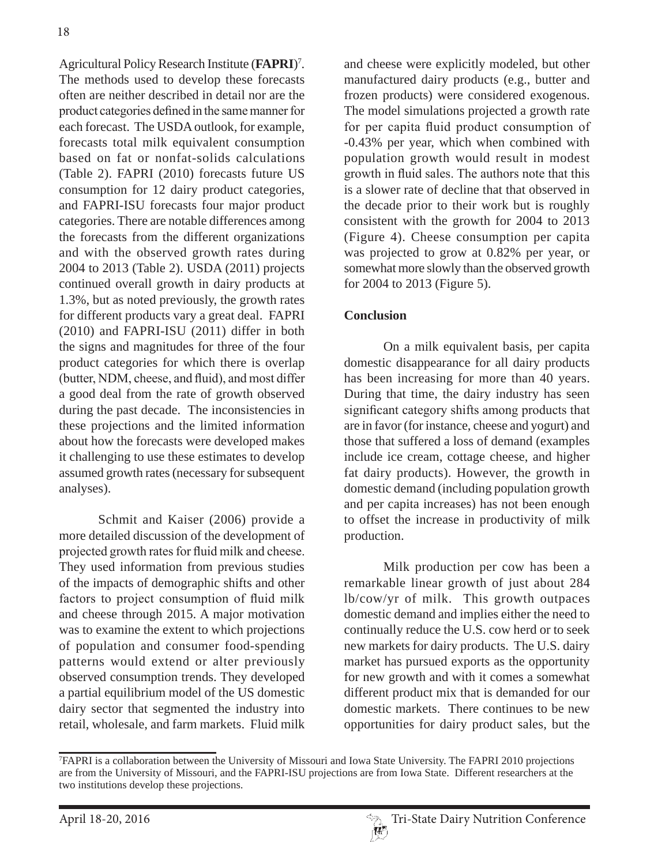Agricultural Policy Research Institute (**FAPRI**) 7 . The methods used to develop these forecasts often are neither described in detail nor are the product categories defined in the same manner for each forecast. The USDA outlook, for example, forecasts total milk equivalent consumption based on fat or nonfat-solids calculations (Table 2). FAPRI (2010) forecasts future US consumption for 12 dairy product categories, and FAPRI-ISU forecasts four major product categories. There are notable differences among the forecasts from the different organizations and with the observed growth rates during 2004 to 2013 (Table 2). USDA (2011) projects continued overall growth in dairy products at 1.3%, but as noted previously, the growth rates for different products vary a great deal. FAPRI (2010) and FAPRI-ISU (2011) differ in both the signs and magnitudes for three of the four product categories for which there is overlap (butter, NDM, cheese, and fluid), and most differ a good deal from the rate of growth observed during the past decade. The inconsistencies in these projections and the limited information about how the forecasts were developed makes it challenging to use these estimates to develop assumed growth rates (necessary for subsequent analyses).

Schmit and Kaiser (2006) provide a more detailed discussion of the development of projected growth rates for fluid milk and cheese. They used information from previous studies of the impacts of demographic shifts and other factors to project consumption of fluid milk and cheese through 2015. A major motivation was to examine the extent to which projections of population and consumer food-spending patterns would extend or alter previously observed consumption trends. They developed a partial equilibrium model of the US domestic dairy sector that segmented the industry into retail, wholesale, and farm markets. Fluid milk

and cheese were explicitly modeled, but other manufactured dairy products (e.g., butter and frozen products) were considered exogenous. The model simulations projected a growth rate for per capita fluid product consumption of -0.43% per year, which when combined with population growth would result in modest growth in fluid sales. The authors note that this is a slower rate of decline that that observed in the decade prior to their work but is roughly consistent with the growth for 2004 to 2013 (Figure 4). Cheese consumption per capita was projected to grow at 0.82% per year, or somewhat more slowly than the observed growth for 2004 to 2013 (Figure 5).

## **Conclusion**

On a milk equivalent basis, per capita domestic disappearance for all dairy products has been increasing for more than 40 years. During that time, the dairy industry has seen significant category shifts among products that are in favor (for instance, cheese and yogurt) and those that suffered a loss of demand (examples include ice cream, cottage cheese, and higher fat dairy products). However, the growth in domestic demand (including population growth and per capita increases) has not been enough to offset the increase in productivity of milk production.

Milk production per cow has been a remarkable linear growth of just about 284 lb/cow/yr of milk. This growth outpaces domestic demand and implies either the need to continually reduce the U.S. cow herd or to seek new markets for dairy products. The U.S. dairy market has pursued exports as the opportunity for new growth and with it comes a somewhat different product mix that is demanded for our domestic markets. There continues to be new opportunities for dairy product sales, but the

<sup>7</sup> FAPRI is a collaboration between the University of Missouri and Iowa State University. The FAPRI 2010 projections are from the University of Missouri, and the FAPRI-ISU projections are from Iowa State. Different researchers at the two institutions develop these projections.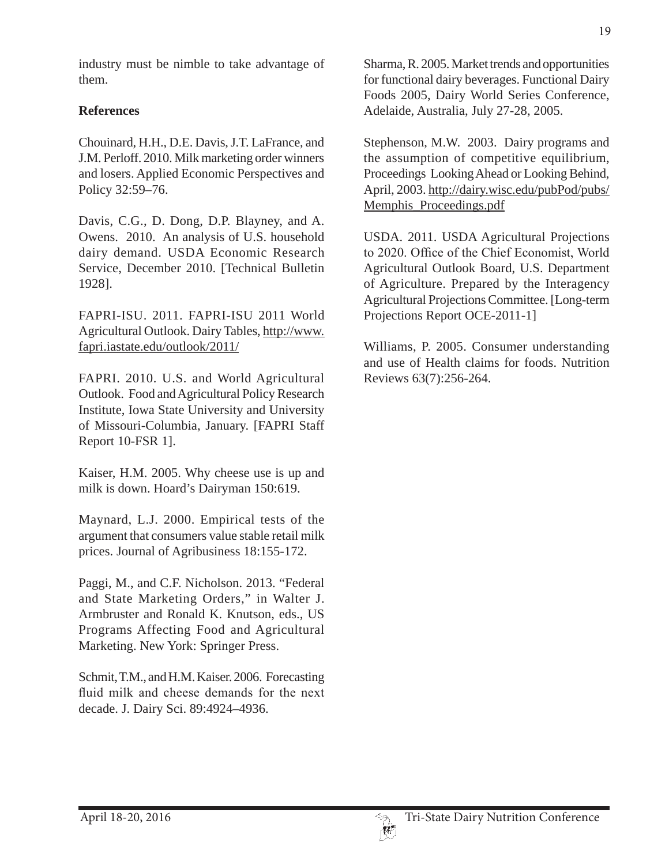industry must be nimble to take advantage of them.

# **References**

Chouinard, H.H., D.E. Davis, J.T. LaFrance, and J.M. Perloff. 2010. Milk marketing order winners and losers. Applied Economic Perspectives and Policy 32:59–76.

Davis, C.G., D. Dong, D.P. Blayney, and A. Owens. 2010. An analysis of U.S. household dairy demand. USDA Economic Research Service, December 2010. [Technical Bulletin 1928].

FAPRI-ISU. 2011. FAPRI-ISU 2011 World Agricultural Outlook. Dairy Tables, http://www. fapri.iastate.edu/outlook/2011/

FAPRI. 2010. U.S. and World Agricultural Outlook. Food and Agricultural Policy Research Institute, Iowa State University and University of Missouri-Columbia, January. [FAPRI Staff Report 10-FSR 1].

Kaiser, H.M. 2005. Why cheese use is up and milk is down. Hoard's Dairyman 150:619.

Maynard, L.J. 2000. Empirical tests of the argument that consumers value stable retail milk prices. Journal of Agribusiness 18:155-172.

Paggi, M., and C.F. Nicholson. 2013. "Federal and State Marketing Orders," in Walter J. Armbruster and Ronald K. Knutson, eds., US Programs Affecting Food and Agricultural Marketing. New York: Springer Press.

Schmit, T.M., and H.M. Kaiser. 2006. Forecasting fluid milk and cheese demands for the next decade. J. Dairy Sci. 89:4924–4936.

Sharma, R. 2005. Market trends and opportunities for functional dairy beverages. Functional Dairy Foods 2005, Dairy World Series Conference, Adelaide, Australia, July 27-28, 2005.

Stephenson, M.W. 2003. Dairy programs and the assumption of competitive equilibrium, Proceedings Looking Ahead or Looking Behind, April, 2003. http://dairy.wisc.edu/pubPod/pubs/ Memphis\_Proceedings.pdf

USDA. 2011. USDA Agricultural Projections to 2020. Office of the Chief Economist, World Agricultural Outlook Board, U.S. Department of Agriculture. Prepared by the Interagency Agricultural Projections Committee. [Long-term Projections Report OCE-2011-1]

Williams, P. 2005. Consumer understanding and use of Health claims for foods. Nutrition Reviews 63(7):256-264.

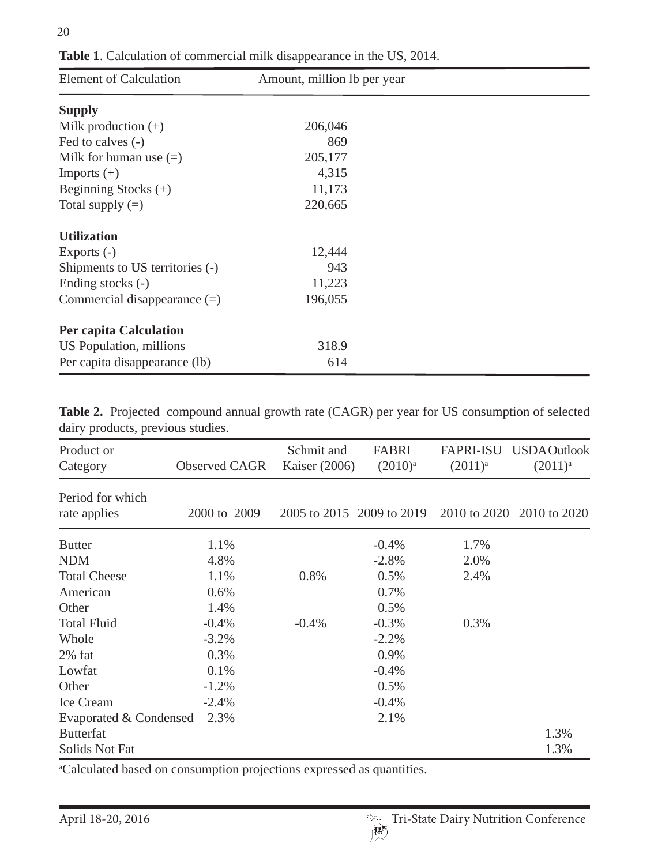| <b>Element of Calculation</b>   | Amount, million lb per year |  |
|---------------------------------|-----------------------------|--|
| <b>Supply</b>                   |                             |  |
| Milk production $(+)$           | 206,046                     |  |
| Fed to calves (-)               | 869                         |  |
| Milk for human use $(=)$        | 205,177                     |  |
| Imports $(+)$                   | 4,315                       |  |
| Beginning Stocks $(+)$          | 11,173                      |  |
| Total supply $(=)$              | 220,665                     |  |
| <b>Utilization</b>              |                             |  |
| Exports $(-)$                   | 12,444                      |  |
| Shipments to US territories (-) | 943                         |  |
| Ending stocks (-)               | 11,223                      |  |
| Commercial disappearance $(=)$  | 196,055                     |  |
| <b>Per capita Calculation</b>   |                             |  |
| US Population, millions         | 318.9                       |  |
| Per capita disappearance (lb)   | 614                         |  |

**Table 1**. Calculation of commercial milk disappearance in the US, 2014.

**Table 2.** Projected compound annual growth rate (CAGR) per year for US consumption of selected dairy products, previous studies.

| Product or<br>Category           | Observed CAGR | Schmit and<br>Kaiser (2006) | FABRI<br>$(2010)^{a}$ | <b>FAPRI-ISU</b><br>$(2011)^{a}$ | <b>USDA</b> Outlook<br>$(2011)^{a}$ |
|----------------------------------|---------------|-----------------------------|-----------------------|----------------------------------|-------------------------------------|
| Period for which<br>rate applies | 2000 to 2009  | 2005 to 2015 2009 to 2019   |                       | 2010 to 2020                     | 2010 to 2020                        |
| <b>Butter</b>                    | 1.1%          |                             | $-0.4%$               | 1.7%                             |                                     |
| <b>NDM</b>                       | 4.8%          |                             | $-2.8%$               | 2.0%                             |                                     |
| <b>Total Cheese</b>              | 1.1%          | 0.8%                        | 0.5%                  | 2.4%                             |                                     |
| American                         | 0.6%          |                             | 0.7%                  |                                  |                                     |
| Other                            | 1.4%          |                             | 0.5%                  |                                  |                                     |
| <b>Total Fluid</b>               | $-0.4%$       | $-0.4%$                     | $-0.3%$               | 0.3%                             |                                     |
| Whole                            | $-3.2%$       |                             | $-2.2%$               |                                  |                                     |
| $2\%$ fat                        | 0.3%          |                             | 0.9%                  |                                  |                                     |
| Lowfat                           | 0.1%          |                             | $-0.4%$               |                                  |                                     |
| Other                            | $-1.2%$       |                             | 0.5%                  |                                  |                                     |
| Ice Cream                        | $-2.4%$       |                             | $-0.4%$               |                                  |                                     |
| Evaporated & Condensed           | 2.3%          |                             | 2.1%                  |                                  |                                     |
| <b>Butterfat</b>                 |               |                             |                       |                                  | 1.3%                                |
| Solids Not Fat                   |               |                             |                       |                                  | 1.3%                                |

a Calculated based on consumption projections expressed as quantities.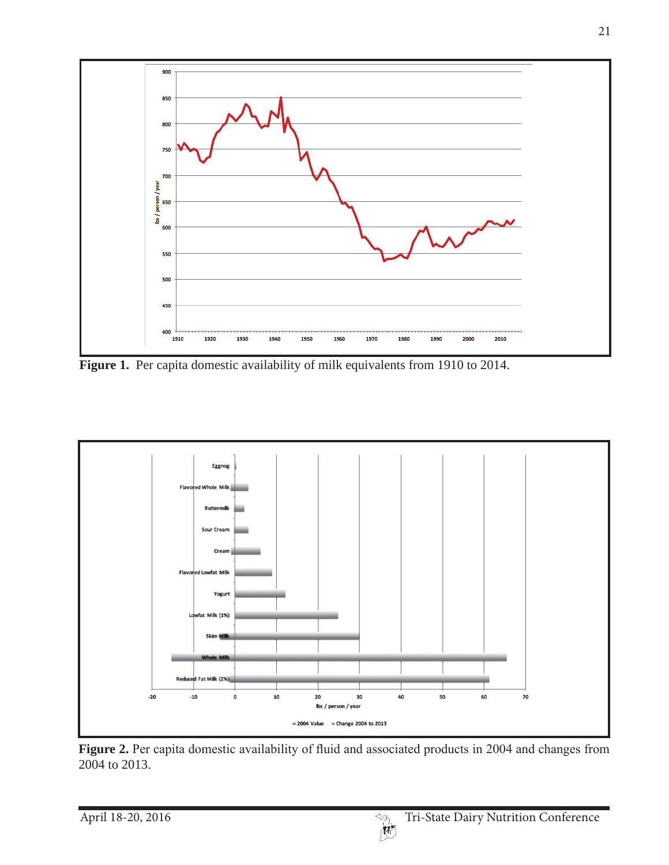

Figure 1. Per capita domestic availability of milk equivalents from 1910 to 2014.



Figure 2. Per capita domestic availability of fluid and associated products in 2004 and changes from 2004 to 2013.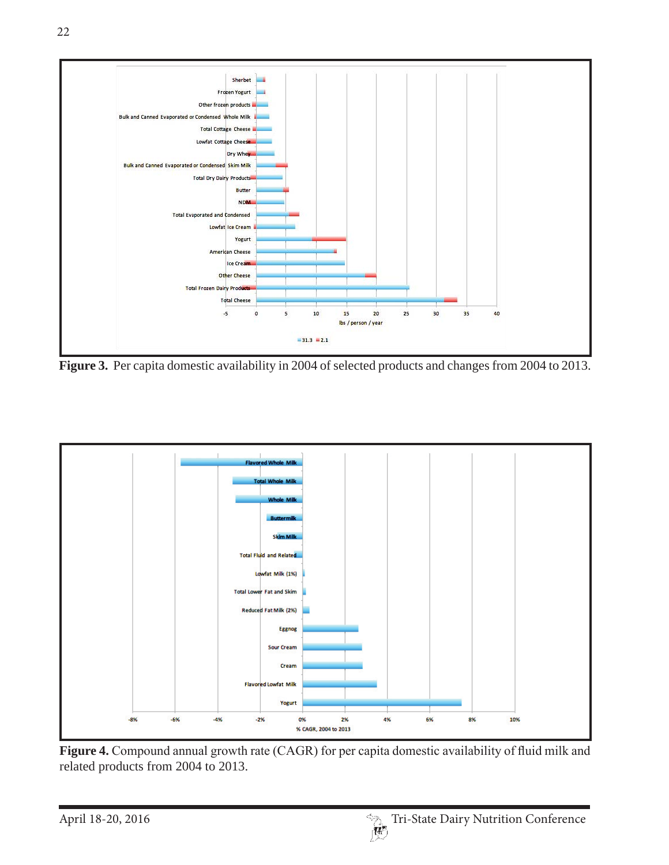

**Figure 3.** Per capita domestic availability in 2004 of selected products and changes from 2004 to 2013.



Figure 4. Compound annual growth rate (CAGR) for per capita domestic availability of fluid milk and related products from 2004 to 2013.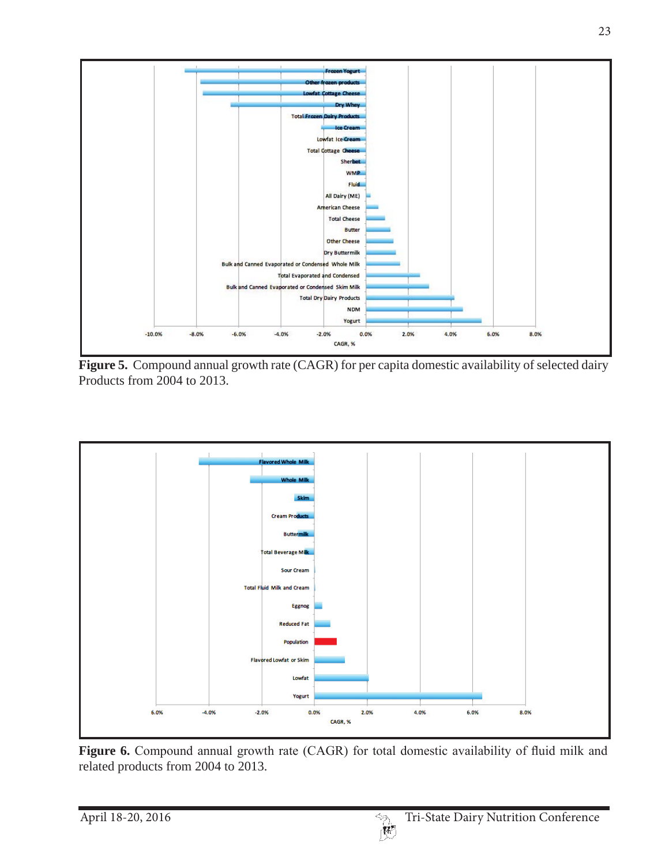

**Figure 5.** Compound annual growth rate (CAGR) for per capita domestic availability of selected dairy Products from 2004 to 2013.



Figure 6. Compound annual growth rate (CAGR) for total domestic availability of fluid milk and related products from 2004 to 2013.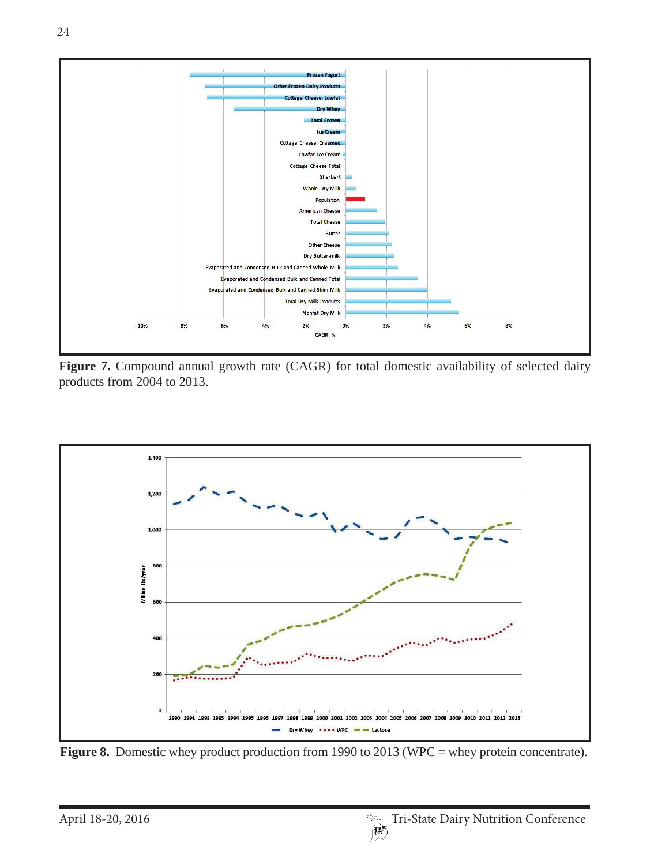

Figure 7. Compound annual growth rate (CAGR) for total domestic availability of selected dairy products from 2004 to 2013.



Figure 8. Domestic whey product production from 1990 to 2013 (WPC = whey protein concentrate).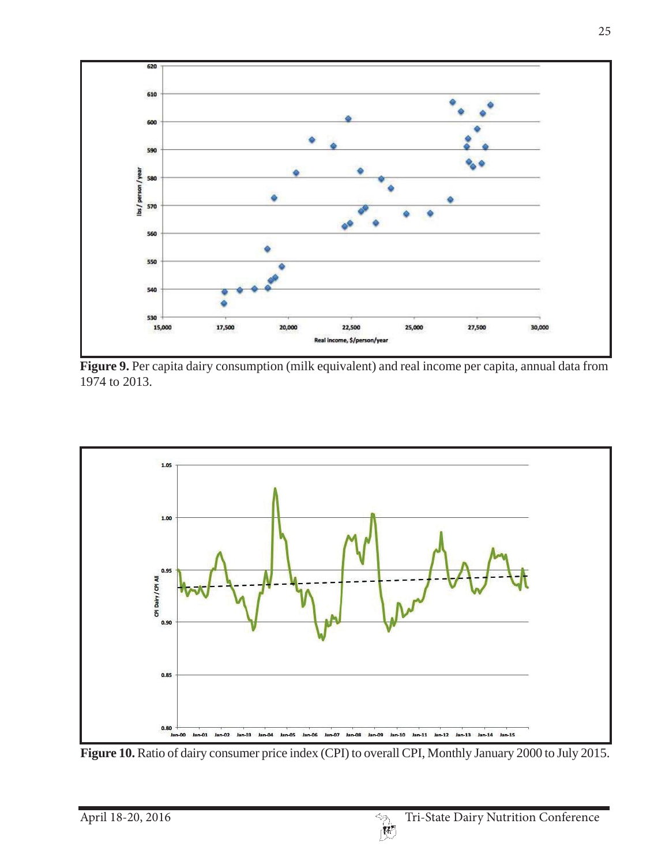

**Figure 9.** Per capita dairy consumption (milk equivalent) and real income per capita, annual data from 1974 to 2013.



Figure 10. Ratio of dairy consumer price index (CPI) to overall CPI, Monthly January 2000 to July 2015.